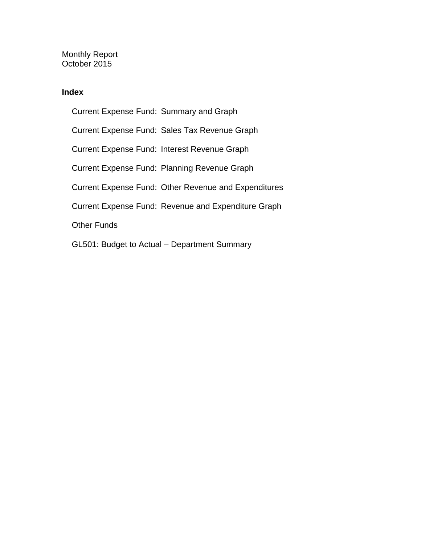Monthly Report October 2015

### **Index**

Current Expense Fund: Summary and Graph Current Expense Fund: Sales Tax Revenue Graph Current Expense Fund: Interest Revenue Graph Current Expense Fund: Planning Revenue Graph Current Expense Fund: Other Revenue and Expenditures Current Expense Fund: Revenue and Expenditure Graph Other Funds GL501: Budget to Actual – Department Summary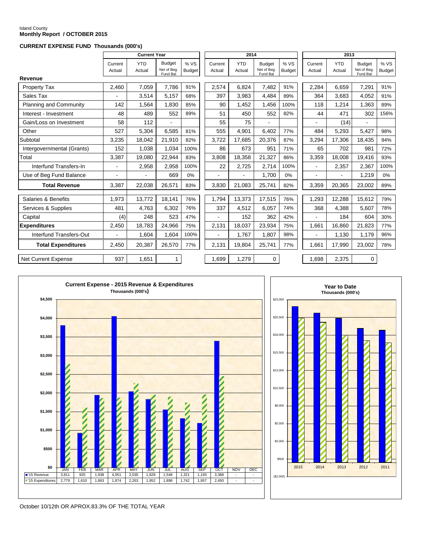# Island County **Monthly Report / OCTOBER 2015**

#### **CURRENT EXPENSE FUND Thousands (000's)**

|                            |                   | <b>Current Year</b>  |                                          |                       |                   | 2014                 |                                          |                       | 2013              |                      |                                          |                      |
|----------------------------|-------------------|----------------------|------------------------------------------|-----------------------|-------------------|----------------------|------------------------------------------|-----------------------|-------------------|----------------------|------------------------------------------|----------------------|
|                            | Current<br>Actual | <b>YTD</b><br>Actual | <b>Budget</b><br>Net of Beg.<br>Fund Bal | % VS<br><b>Budget</b> | Current<br>Actual | <b>YTD</b><br>Actual | <b>Budget</b><br>Net of Beg.<br>Fund Bal | % VS<br><b>Budget</b> | Current<br>Actual | <b>YTD</b><br>Actual | <b>Budget</b><br>Net of Beg.<br>Fund Bal | %VS<br><b>Budget</b> |
| <b>Revenue</b>             |                   |                      |                                          |                       |                   |                      |                                          |                       |                   |                      |                                          |                      |
| Property Tax               | 2,460             | 7,059                | 7,786                                    | 91%                   | 2,574             | 6.824                | 7,482                                    | 91%                   | 2,284             | 6,659                | 7,291                                    | 91%                  |
| Sales Tax                  |                   | 3,514                | 5,157                                    | 68%                   | 397               | 3,983                | 4,484                                    | 89%                   | 364               | 3.683                | 4,052                                    | 91%                  |
| Planning and Community     | 142               | 1,564                | 1,830                                    | 85%                   | 90                | 1,452                | 1,456                                    | 100%                  | 118               | 1,214                | 1,363                                    | 89%                  |
| Interest - Investment      | 48                | 489                  | 552                                      | 89%                   | 51                | 450                  | 552                                      | 82%                   | 44                | 471                  | 302                                      | 156%                 |
| Gain/Loss on Investment    | 58                | 112                  | $\blacksquare$                           |                       | 55                | 75                   | $\blacksquare$                           |                       | $\blacksquare$    | (14)                 | $\blacksquare$                           |                      |
| Other                      | 527               | 5,304                | 6.585                                    | 81%                   | 555               | 4.901                | 6.402                                    | 77%                   | 484               | 5.293                | 5.427                                    | 98%                  |
| Subtotal                   | 3,235             | 18,042               | 21.910                                   | 82%                   | 3.722             | 17.685               | 20.376                                   | 87%                   | 3,294             | 17.306               | 18.435                                   | 94%                  |
| Intergovernmental (Grants) | 152               | 1.038                | 1.034                                    | 100%                  | 86                | 673                  | 951                                      | 71%                   | 65                | 702                  | 981                                      | 72%                  |
| Total                      | 3,387             | 19,080               | 22.944                                   | 83%                   | 3,808             | 18.358               | 21,327                                   | 86%                   | 3,359             | 18.008               | 19.416                                   | 93%                  |
| Interfund Transfers-In     | $\blacksquare$    | 2,958                | 2,958                                    | 100%                  | 22                | 2,725                | 2,714                                    | 100%                  | $\blacksquare$    | 2,357                | 2,367                                    | 100%                 |
| Use of Beg Fund Balance    | $\blacksquare$    |                      | 669                                      | 0%                    | $\blacksquare$    | $\blacksquare$       | 1,700                                    | 0%                    | $\blacksquare$    | $\blacksquare$       | 1,219                                    | 0%                   |
| <b>Total Revenue</b>       | 3,387             | 22,038               | 26,571                                   | 83%                   | 3,830             | 21,083               | 25,741                                   | 82%                   | 3,359             | 20,365               | 23,002                                   | 89%                  |
| Salaries & Benefits        |                   | 13,772               | 18,141                                   | 76%                   | 1,794             | 13,373               | 17,515                                   | 76%                   |                   | 12,288               | 15,612                                   | 79%                  |
|                            | 1,973             |                      |                                          |                       |                   |                      |                                          |                       | 1,293             |                      |                                          |                      |
| Services & Supplies        | 481               | 4,763                | 6,302                                    | 76%                   | 337               | 4,512                | 6,057                                    | 74%                   | 368               | 4,388                | 5,607                                    | 78%                  |
| Capital                    | (4)               | 248                  | 523                                      | 47%                   |                   | 152                  | 362                                      | 42%                   |                   | 184                  | 604                                      | 30%                  |
| <b>Expenditures</b>        | 2,450             | 18,783               | 24,966                                   | 75%                   | 2,131             | 18,037               | 23,934                                   | 75%                   | 1,661             | 16,860               | 21,823                                   | 77%                  |
| Interfund Transfers-Out    |                   | 1,604                | 1,604                                    | 100%                  |                   | 1,767                | 1,807                                    | 98%                   |                   | 1,130                | 1,179                                    | 96%                  |
| <b>Total Expenditures</b>  | 2.450             | 20.387               | 26,570                                   | 77%                   | 2,131             | 19.804               | 25.741                                   | 77%                   | 1.661             | 17.990               | 23,002                                   | 78%                  |
| <b>Net Current Expense</b> | 937               | 1,651                | $\mathbf{1}$                             |                       | 1,699             | 1,279                | 0                                        |                       | 1,698             | 2,375                | 0                                        |                      |





October 10/12th OR APROX.83.3% OF THE TOTAL YEAR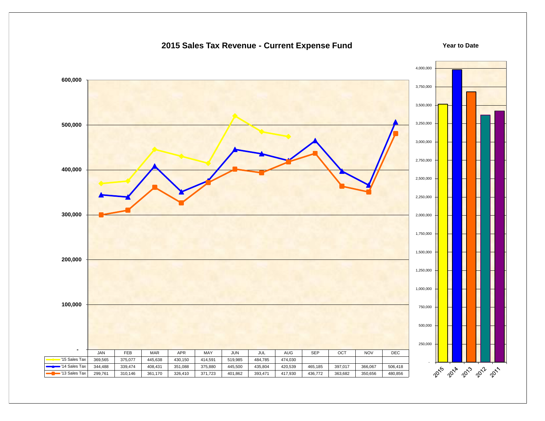### 4,000,000  **600,000** 3,750,000 3,500,000 3,250,000  **500,000** 3,000,000 2,750,000  **400,000** 2,500,000 2,250,000  **300,000** 2,000,000 1,750,000 1,500,000  **200,000** 1,250,000 1,000,000  **100,000** 750,000 500,000 250,000  **-** JAN | FEB | MAR | APR | MAY | JUN | JUL | AUG | SEP | OCT | NOV | DEC '15 Sales Tax | 369,565 | 375,077 | 445,638 | 430,150 | 414,591 | 519,985 | 484,785 | 474,030 - '14 Sales Tax | 344,488 | 339,474 | 408,431 | 351,088 | 375,880 | 445,500 | 435,804 | 420,539 | 465,185 | 397,017 | 366,067 | 506,418 2015 - 2018 - 2019 - 2011 '13 Sales Tax | 299,761 | 310,146 | 361,170 | 326,410 | 371,723 | 401,862 | 393,471 | 417,930 | 436,772 | 363,682 | 350,656 | 480,856

### **2015 Sales Tax Revenue - Current Expense Fund**

**Year to Date**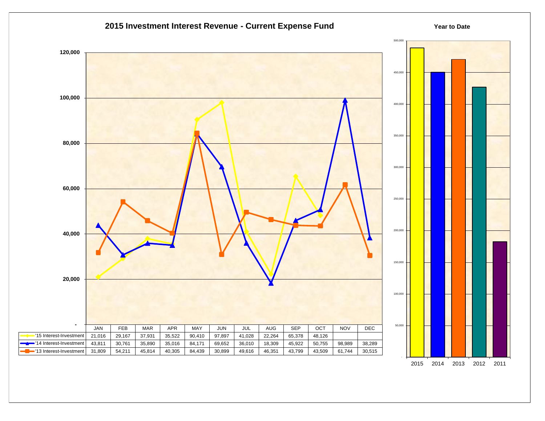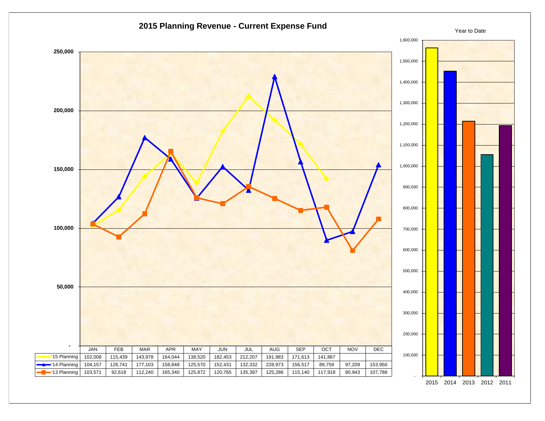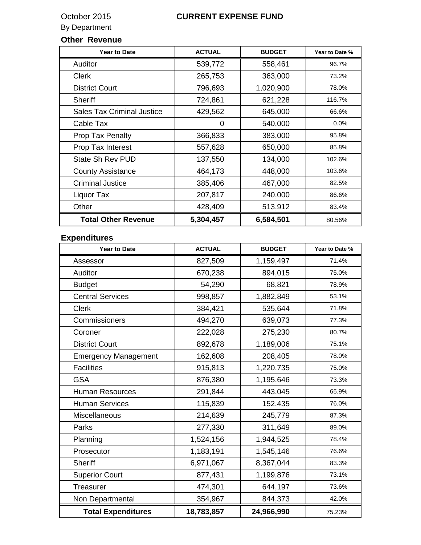### By Department

### **Other Revenue**

| <b>Year to Date</b>               | <b>ACTUAL</b> | <b>BUDGET</b> | Year to Date % |
|-----------------------------------|---------------|---------------|----------------|
| Auditor                           | 539,772       | 558,461       | 96.7%          |
| <b>Clerk</b>                      | 265,753       | 363,000       | 73.2%          |
| <b>District Court</b>             | 796,693       | 1,020,900     | 78.0%          |
| <b>Sheriff</b>                    | 724,861       | 621,228       | 116.7%         |
| <b>Sales Tax Criminal Justice</b> | 429,562       | 645,000       | 66.6%          |
| Cable Tax                         | 0             | 540,000       | $0.0\%$        |
| Prop Tax Penalty                  | 366,833       | 383,000       | 95.8%          |
| Prop Tax Interest                 | 557,628       | 650,000       | 85.8%          |
| State Sh Rev PUD                  | 137,550       | 134,000       | 102.6%         |
| <b>County Assistance</b>          | 464,173       | 448,000       | 103.6%         |
| <b>Criminal Justice</b>           | 385,406       | 467,000       | 82.5%          |
| Liquor Tax                        | 207,817       | 240,000       | 86.6%          |
| Other                             | 428,409       | 513,912       | 83.4%          |
| <b>Total Other Revenue</b>        | 5,304,457     | 6,584,501     | 80.56%         |

### **Expenditures**

| <b>Year to Date</b>         | <b>ACTUAL</b> | <b>BUDGET</b> | Year to Date % |
|-----------------------------|---------------|---------------|----------------|
| Assessor                    | 827,509       | 1,159,497     | 71.4%          |
| Auditor                     | 670,238       | 894,015       | 75.0%          |
| <b>Budget</b>               | 54,290        | 68,821        | 78.9%          |
| <b>Central Services</b>     | 998,857       | 1,882,849     | 53.1%          |
| <b>Clerk</b>                | 384,421       | 535,644       | 71.8%          |
| Commissioners               | 494,270       | 639,073       | 77.3%          |
| Coroner                     | 222,028       | 275,230       | 80.7%          |
| <b>District Court</b>       | 892,678       | 1,189,006     | 75.1%          |
| <b>Emergency Management</b> | 162,608       | 208,405       | 78.0%          |
| <b>Facilities</b>           | 915,813       | 1,220,735     | 75.0%          |
| <b>GSA</b>                  | 876,380       | 1,195,646     | 73.3%          |
| <b>Human Resources</b>      | 291,844       | 443,045       | 65.9%          |
| <b>Human Services</b>       | 115,839       | 152,435       | 76.0%          |
| Miscellaneous               | 214,639       | 245,779       | 87.3%          |
| Parks                       | 277,330       | 311,649       | 89.0%          |
| Planning                    | 1,524,156     | 1,944,525     | 78.4%          |
| Prosecutor                  | 1,183,191     | 1,545,146     | 76.6%          |
| <b>Sheriff</b>              | 6,971,067     | 8,367,044     | 83.3%          |
| <b>Superior Court</b>       | 877,431       | 1,199,876     | 73.1%          |
| Treasurer                   | 474,301       | 644,197       | 73.6%          |
| Non Departmental            | 354,967       | 844,373       | 42.0%          |
| <b>Total Expenditures</b>   | 18,783,857    | 24,966,990    | 75.23%         |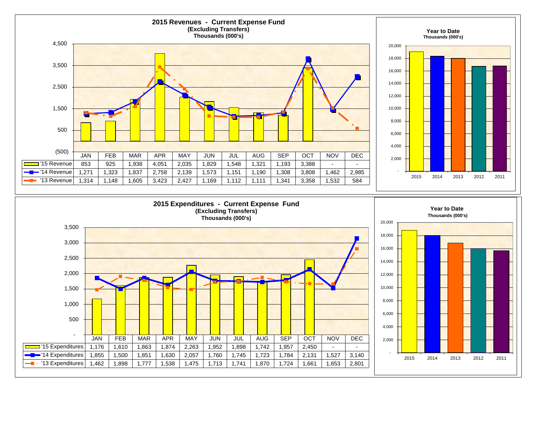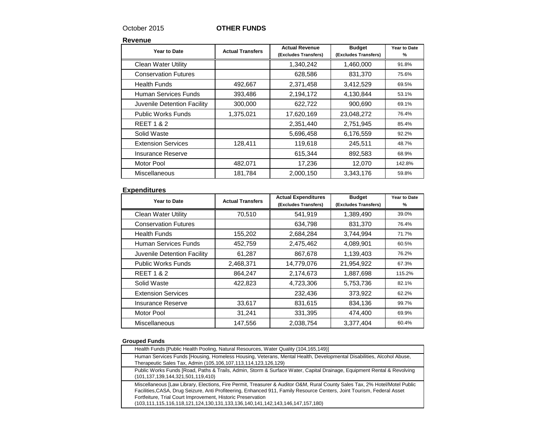### October 2015 **OTHER FUNDS**

**Revenue**

| Year to Date                | <b>Actual Transfers</b> | <b>Actual Revenue</b><br>(Excludes Transfers) | <b>Budget</b><br>(Excludes Transfers) | Year to Date<br>% |
|-----------------------------|-------------------------|-----------------------------------------------|---------------------------------------|-------------------|
| <b>Clean Water Utility</b>  |                         | 1,340,242                                     | 1,460,000                             | 91.8%             |
| <b>Conservation Futures</b> |                         | 628,586                                       | 831,370                               | 75.6%             |
| <b>Health Funds</b>         | 492,667                 | 2,371,458                                     | 3,412,529                             | 69.5%             |
| Human Services Funds        | 393,486                 | 2,194,172                                     | 4,130,844                             | 53.1%             |
| Juvenile Detention Facility | 300,000                 | 622,722                                       | 900,690                               | 69.1%             |
| <b>Public Works Funds</b>   | 1,375,021               | 17,620,169                                    | 23,048,272                            | 76.4%             |
| <b>REET 1 &amp; 2</b>       |                         | 2,351,440                                     | 2,751,945                             | 85.4%             |
| Solid Waste                 |                         | 5,696,458                                     | 6,176,559                             | 92.2%             |
| <b>Extension Services</b>   | 128,411                 | 119,618                                       | 245,511                               | 48.7%             |
| Insurance Reserve           |                         | 615,344                                       | 892,583                               | 68.9%             |
| Motor Pool                  | 482,071                 | 17,236                                        | 12,070                                | 142.8%            |
| Miscellaneous               | 181,784                 | 2,000,150                                     | 3,343,176                             | 59.8%             |

### **Expenditures**

| Year to Date                | <b>Actual Transfers</b> | <b>Actual Expenditures</b><br>(Excludes Transfers) | <b>Budget</b><br>(Excludes Transfers) | Year to Date<br>% |
|-----------------------------|-------------------------|----------------------------------------------------|---------------------------------------|-------------------|
| <b>Clean Water Utility</b>  | 70,510                  | 541.919                                            | 1,389,490                             | 39.0%             |
| <b>Conservation Futures</b> |                         | 634,798                                            | 831,370                               | 76.4%             |
| <b>Health Funds</b>         | 155,202                 | 2,684,284                                          | 3,744,994                             | 71.7%             |
| Human Services Funds        | 452,759                 | 2,475,462                                          | 4,089,901                             | 60.5%             |
| Juvenile Detention Facility | 61,287                  | 867,678                                            | 1,139,403                             | 76.2%             |
| <b>Public Works Funds</b>   | 2,468,371               | 14,779,076                                         | 21,954,922                            | 67.3%             |
| <b>REET 1 &amp; 2</b>       | 864,247                 | 2,174,673                                          | 1,887,698                             | 115.2%            |
| Solid Waste                 | 422,823                 | 4,723,306                                          | 5,753,736                             | 82.1%             |
| <b>Extension Services</b>   |                         | 232,436                                            | 373,922                               | 62.2%             |
| Insurance Reserve           | 33,617                  | 831,615                                            | 834,136                               | 99.7%             |
| Motor Pool                  | 31,241                  | 331,395                                            | 474,400                               | 69.9%             |
| Miscellaneous               | 147,556                 | 2,038,754                                          | 3,377,404                             | 60.4%             |

#### **Grouped Funds**

| Health Funds [Public Health Pooling, Natural Resources, Water Quality (104,165,149)]                                                                                                                                                                                                                                                                                                                 |
|------------------------------------------------------------------------------------------------------------------------------------------------------------------------------------------------------------------------------------------------------------------------------------------------------------------------------------------------------------------------------------------------------|
| Human Services Funds [Housing, Homeless Housing, Veterans, Mental Health, Developmental Disabilities, Alcohol Abuse,<br>Therapeutic Sales Tax, Admin (105,106,107,113,114,123,126,129)                                                                                                                                                                                                               |
| Public Works Funds [Road, Paths & Trails, Admin, Storm & Surface Water, Capital Drainage, Equipment Rental & Revolving<br>(101,137,139,144,321,501,119,410)                                                                                                                                                                                                                                          |
| Miscellaneous [Law Library, Elections, Fire Permit, Treasurer & Auditor O&M, Rural County Sales Tax, 2% Hotel/Motel Public<br>Facilities, CASA, Drug Seizure, Anti Profiteering, Enhanced 911, Family Resource Centers, Joint Tourism, Federal Asset<br>Fortfeiture, Trial Court Improvement, Historic Preservation<br>(103,111,115,116,118,121,124,130,131,133,136,140,141,142,143,146,147,157,180) |
|                                                                                                                                                                                                                                                                                                                                                                                                      |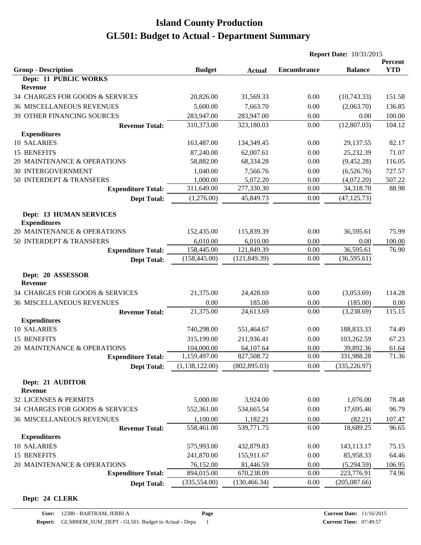|                                                       |                |               | <b>Report Date: 10/31/2015</b> |                |            |
|-------------------------------------------------------|----------------|---------------|--------------------------------|----------------|------------|
|                                                       |                |               |                                |                | Percent    |
| <b>Group - Description</b><br>Dept: 11 PUBLIC WORKS   | <b>Budget</b>  | <b>Actual</b> | <b>Encumbrance</b>             | <b>Balance</b> | <b>YTD</b> |
| <b>Revenue</b>                                        |                |               |                                |                |            |
| 34 CHARGES FOR GOODS & SERVICES                       | 20,826.00      | 31,569.33     | 0.00                           | (10,743.33)    | 151.58     |
| <b>36 MISCELLANEOUS REVENUES</b>                      | 5,600.00       | 7,663.70      | 0.00                           | (2,063.70)     | 136.85     |
| 39 OTHER FINANCING SOURCES                            | 283,947.00     | 283,947.00    | 0.00                           | 0.00           | 100.00     |
| <b>Revenue Total:</b>                                 | 310,373.00     | 323,180.03    | 0.00                           | (12,807.03)    | 104.12     |
| <b>Expenditures</b>                                   |                |               |                                |                |            |
| 10 SALARIES                                           | 163,487.00     | 134,349.45    | 0.00                           | 29,137.55      | 82.17      |
| 15 BENEFITS                                           | 87,240.00      | 62,007.61     | 0.00                           | 25,232.39      | 71.07      |
| 20 MAINTENANCE & OPERATIONS                           | 58,882.00      | 68,334.28     | 0.00                           | (9,452.28)     | 116.05     |
| <b>30 INTERGOVERNMENT</b>                             | 1,040.00       | 7,566.76      | 0.00                           | (6,526.76)     | 727.57     |
| 50 INTERDEPT & TRANSFERS                              | 1,000.00       | 5,072.20      | 0.00                           | (4,072.20)     | 507.22     |
| <b>Expenditure Total:</b>                             | 311,649.00     | 277,330.30    | 0.00                           | 34,318.70      | 88.98      |
| <b>Dept Total:</b>                                    | (1,276.00)     | 45,849.73     | 0.00                           | (47, 125.73)   |            |
|                                                       |                |               |                                |                |            |
| <b>Dept: 13 HUMAN SERVICES</b><br><b>Expenditures</b> |                |               |                                |                |            |
| 20 MAINTENANCE & OPERATIONS                           | 152,435.00     | 115,839.39    | 0.00                           | 36,595.61      | 75.99      |
| 50 INTERDEPT & TRANSFERS                              | 6,010.00       | 6,010.00      | 0.00                           | 0.00           | 100.00     |
| <b>Expenditure Total:</b>                             | 158,445.00     | 121,849.39    | 0.00                           | 36,595.61      | 76.90      |
| <b>Dept Total:</b>                                    | (158, 445.00)  | (121, 849.39) | 0.00                           | (36,595.61)    |            |
|                                                       |                |               |                                |                |            |
| Dept: 20 ASSESSOR<br><b>Revenue</b>                   |                |               |                                |                |            |
| 34 CHARGES FOR GOODS & SERVICES                       | 21,375.00      | 24,428.69     | 0.00                           | (3,053.69)     | 114.28     |
| <b>36 MISCELLANEOUS REVENUES</b>                      | 0.00           | 185.00        | 0.00                           | (185.00)       | 0.00       |
| <b>Revenue Total:</b>                                 | 21,375.00      | 24,613.69     | 0.00                           | (3,238.69)     | 115.15     |
| <b>Expenditures</b>                                   |                |               |                                |                |            |
| 10 SALARIES                                           | 740,298.00     | 551,464.67    | 0.00                           | 188,833.33     | 74.49      |
| 15 BENEFITS                                           | 315,199.00     | 211,936.41    | 0.00                           | 103,262.59     | 67.23      |
| 20 MAINTENANCE & OPERATIONS                           | 104,000.00     | 64,107.64     | 0.00                           | 39,892.36      | 61.64      |
| <b>Expenditure Total:</b>                             | 1,159,497.00   | 827,508.72    | 0.00                           | 331,988.28     | 71.36      |
| <b>Dept Total:</b>                                    | (1,138,122.00) | (802, 895.03) | 0.00                           | (335, 226.97)  |            |
| Dept: 21 AUDITOR                                      |                |               |                                |                |            |
| Revenue                                               |                |               |                                |                |            |
| 32 LICENSES & PERMITS                                 | 5,000.00       | 3,924.00      | 0.00                           | 1,076.00       | 78.48      |
| 34 CHARGES FOR GOODS & SERVICES                       | 552,361.00     | 534,665.54    | 0.00                           | 17,695.46      | 96.79      |
| <b>36 MISCELLANEOUS REVENUES</b>                      | 1,100.00       | 1,182.21      | 0.00                           | (82.21)        | 107.47     |
| <b>Revenue Total:</b>                                 | 558,461.00     | 539,771.75    | 0.00                           | 18,689.25      | 96.65      |
| <b>Expenditures</b>                                   |                |               |                                |                |            |
| 10 SALARIES                                           | 575,993.00     | 432,879.83    | 0.00                           | 143,113.17     | 75.15      |
| 15 BENEFITS                                           | 241,870.00     | 155,911.67    | 0.00                           | 85,958.33      | 64.46      |
| 20 MAINTENANCE & OPERATIONS                           | 76,152.00      | 81,446.59     | 0.00                           | (5,294.59)     | 106.95     |
| <b>Expenditure Total:</b>                             | 894,015.00     | 670,238.09    | 0.00                           | 223,776.91     | 74.96      |
| <b>Dept Total:</b>                                    | (335, 554.00)  | (130, 466.34) | 0.00                           | (205,087.66)   |            |

#### **Dept: 24 CLERK**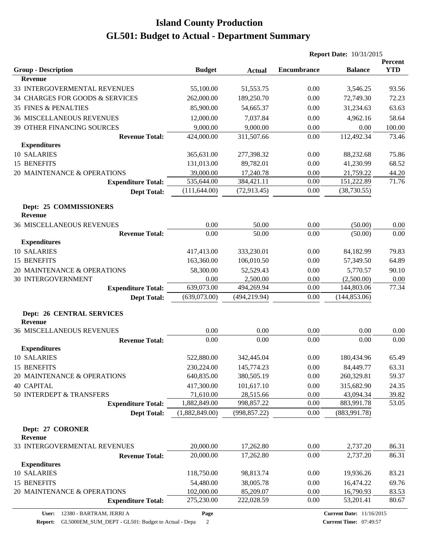|                                                    |                |               | <b>Report Date: 10/31/2015</b> |                |                       |
|----------------------------------------------------|----------------|---------------|--------------------------------|----------------|-----------------------|
| <b>Group - Description</b>                         | <b>Budget</b>  | <b>Actual</b> | <b>Encumbrance</b>             | <b>Balance</b> | Percent<br><b>YTD</b> |
| <b>Revenue</b>                                     |                |               |                                |                |                       |
| 33 INTERGOVERMENTAL REVENUES                       | 55,100.00      | 51,553.75     | 0.00                           | 3,546.25       | 93.56                 |
| 34 CHARGES FOR GOODS & SERVICES                    | 262,000.00     | 189,250.70    | 0.00                           | 72,749.30      | 72.23                 |
| <b>35 FINES &amp; PENALTIES</b>                    | 85,900.00      | 54,665.37     | 0.00                           | 31,234.63      | 63.63                 |
| <b>36 MISCELLANEOUS REVENUES</b>                   | 12,000.00      | 7,037.84      | 0.00                           | 4,962.16       | 58.64                 |
| 39 OTHER FINANCING SOURCES                         | 9,000.00       | 9,000.00      | 0.00                           | 0.00           | 100.00                |
| <b>Revenue Total:</b>                              | 424,000.00     | 311,507.66    | 0.00                           | 112,492.34     | 73.46                 |
| <b>Expenditures</b>                                |                |               |                                |                |                       |
| 10 SALARIES                                        | 365,631.00     | 277,398.32    | 0.00                           | 88,232.68      | 75.86                 |
| 15 BENEFITS                                        | 131,013.00     | 89,782.01     | 0.00                           | 41,230.99      | 68.52                 |
| 20 MAINTENANCE & OPERATIONS                        | 39,000.00      | 17,240.78     | 0.00                           | 21,759.22      | 44.20                 |
| <b>Expenditure Total:</b>                          | 535,644.00     | 384,421.11    | 0.00                           | 151,222.89     | 71.76                 |
| <b>Dept Total:</b>                                 | (111, 644.00)  | (72, 913.45)  | 0.00                           | (38, 730.55)   |                       |
| Dept: 25 COMMISSIONERS<br><b>Revenue</b>           |                |               |                                |                |                       |
| <b>36 MISCELLANEOUS REVENUES</b>                   | 0.00           | 50.00         | 0.00                           | (50.00)        | 0.00                  |
| <b>Revenue Total:</b>                              | 0.00           | 50.00         | 0.00                           | (50.00)        | 0.00                  |
| <b>Expenditures</b>                                |                |               |                                |                |                       |
| 10 SALARIES                                        | 417,413.00     | 333,230.01    | 0.00                           | 84,182.99      | 79.83                 |
| 15 BENEFITS                                        | 163,360.00     | 106,010.50    | 0.00                           | 57,349.50      | 64.89                 |
| 20 MAINTENANCE & OPERATIONS                        | 58,300.00      | 52,529.43     | 0.00                           | 5,770.57       | 90.10                 |
| 30 INTERGOVERNMENT                                 | 0.00           | 2,500.00      | 0.00                           | (2,500.00)     | 0.00                  |
| <b>Expenditure Total:</b>                          | 639,073.00     | 494,269.94    | 0.00                           | 144,803.06     | 77.34                 |
| <b>Dept Total:</b>                                 | (639,073.00)   | (494, 219.94) | 0.00                           | (144, 853.06)  |                       |
| <b>Dept: 26 CENTRAL SERVICES</b><br><b>Revenue</b> |                |               |                                |                |                       |
| <b>36 MISCELLANEOUS REVENUES</b>                   | 0.00           | 0.00          | 0.00                           | 0.00           | 0.00                  |
| <b>Revenue Total:</b>                              | 0.00           | 0.00          | 0.00                           | 0.00           | 0.00                  |
| <b>Expenditures</b>                                |                |               |                                |                |                       |
| 10 SALARIES                                        | 522,880.00     | 342,445.04    | 0.00                           | 180,434.96     | 65.49                 |
| 15 BENEFITS                                        | 230,224.00     | 145,774.23    | 0.00                           | 84,449.77      | 63.31                 |
| 20 MAINTENANCE & OPERATIONS                        | 640,835.00     | 380,505.19    | 0.00                           | 260,329.81     | 59.37                 |
| <b>40 CAPITAL</b>                                  | 417,300.00     | 101,617.10    | 0.00                           | 315,682.90     | 24.35                 |
| 50 INTERDEPT & TRANSFERS                           | 71,610.00      | 28,515.66     | 0.00                           | 43,094.34      | 39.82                 |
| <b>Expenditure Total:</b>                          | 1,882,849.00   | 998,857.22    | 0.00                           | 883,991.78     | 53.05                 |
| <b>Dept Total:</b>                                 | (1,882,849.00) | (998, 857.22) | 0.00                           | (883,991.78)   |                       |
| Dept: 27 CORONER                                   |                |               |                                |                |                       |
| <b>Revenue</b>                                     |                |               |                                |                |                       |
| 33 INTERGOVERMENTAL REVENUES                       | 20,000.00      | 17,262.80     | 0.00                           | 2,737.20       | 86.31                 |
| <b>Revenue Total:</b>                              | 20,000.00      | 17,262.80     | 0.00                           | 2,737.20       | 86.31                 |
| <b>Expenditures</b>                                |                |               |                                |                |                       |
| 10 SALARIES                                        | 118,750.00     | 98,813.74     | 0.00                           | 19,936.26      | 83.21                 |
| 15 BENEFITS                                        | 54,480.00      | 38,005.78     | 0.00                           | 16,474.22      | 69.76                 |
| 20 MAINTENANCE & OPERATIONS                        | 102,000.00     | 85,209.07     | 0.00                           | 16,790.93      | 83.53                 |
| <b>Expenditure Total:</b>                          | 275,230.00     | 222,028.59    | 0.00                           | 53,201.41      | 80.67                 |

**Page**

**Report:** GL5000EM\_SUM\_DEPT - GL501: Budget to Actual - Depa 2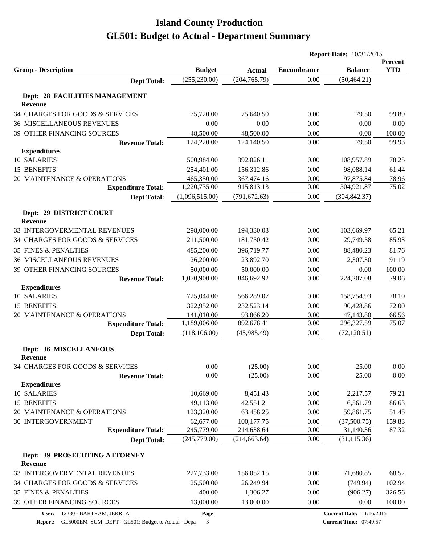|                                                 |                |               |                    | <b>Report Date: 10/31/2015</b> |                       |
|-------------------------------------------------|----------------|---------------|--------------------|--------------------------------|-----------------------|
| <b>Group - Description</b>                      | <b>Budget</b>  | <b>Actual</b> | <b>Encumbrance</b> | <b>Balance</b>                 | Percent<br><b>YTD</b> |
| <b>Dept Total:</b>                              | (255, 230.00)  | (204, 765.79) | 0.00               | (50, 464.21)                   |                       |
| Dept: 28 FACILITIES MANAGEMENT<br>Revenue       |                |               |                    |                                |                       |
| 34 CHARGES FOR GOODS & SERVICES                 | 75,720.00      | 75,640.50     | 0.00               | 79.50                          | 99.89                 |
| <b>36 MISCELLANEOUS REVENUES</b>                | 0.00           | 0.00          | 0.00               | 0.00                           | 0.00                  |
| 39 OTHER FINANCING SOURCES                      | 48,500.00      | 48,500.00     | 0.00               | 0.00                           | 100.00                |
| <b>Revenue Total:</b>                           | 124,220.00     | 124,140.50    | 0.00               | 79.50                          | 99.93                 |
| <b>Expenditures</b>                             |                |               |                    |                                |                       |
| 10 SALARIES                                     | 500,984.00     | 392,026.11    | 0.00               | 108,957.89                     | 78.25                 |
| 15 BENEFITS                                     | 254,401.00     | 156,312.86    | 0.00               | 98,088.14                      | 61.44                 |
| 20 MAINTENANCE & OPERATIONS                     | 465,350.00     | 367,474.16    | 0.00               | 97,875.84                      | 78.96                 |
| <b>Expenditure Total:</b>                       | 1,220,735.00   | 915,813.13    | 0.00               | 304,921.87                     | 75.02                 |
| <b>Dept Total:</b>                              | (1,096,515.00) | (791, 672.63) | 0.00               | (304, 842.37)                  |                       |
| Dept: 29 DISTRICT COURT<br><b>Revenue</b>       |                |               |                    |                                |                       |
| 33 INTERGOVERMENTAL REVENUES                    | 298,000.00     | 194,330.03    | 0.00               | 103,669.97                     | 65.21                 |
| 34 CHARGES FOR GOODS & SERVICES                 | 211,500.00     | 181,750.42    | 0.00               | 29,749.58                      | 85.93                 |
| <b>35 FINES &amp; PENALTIES</b>                 | 485,200.00     | 396,719.77    | 0.00               | 88,480.23                      | 81.76                 |
| <b>36 MISCELLANEOUS REVENUES</b>                | 26,200.00      | 23,892.70     | 0.00               | 2,307.30                       | 91.19                 |
| 39 OTHER FINANCING SOURCES                      | 50,000.00      | 50,000.00     | 0.00               | 0.00                           | 100.00                |
| <b>Revenue Total:</b>                           | 1,070,900.00   | 846,692.92    | 0.00               | 224, 207.08                    | 79.06                 |
| <b>Expenditures</b>                             |                |               |                    |                                |                       |
| 10 SALARIES                                     | 725,044.00     | 566,289.07    | 0.00               | 158,754.93                     | 78.10                 |
| 15 BENEFITS                                     | 322,952.00     | 232,523.14    | 0.00               | 90,428.86                      | 72.00                 |
| 20 MAINTENANCE & OPERATIONS                     | 141,010.00     | 93,866.20     | 0.00               | 47,143.80                      | 66.56                 |
| <b>Expenditure Total:</b>                       | 1,189,006.00   | 892,678.41    | 0.00               | 296,327.59                     | 75.07                 |
| <b>Dept Total:</b>                              | (118, 106.00)  | (45,985.49)   | 0.00               | (72, 120.51)                   |                       |
| <b>Dept: 36 MISCELLANEOUS</b><br>Revenue        |                |               |                    |                                |                       |
| 34 CHARGES FOR GOODS & SERVICES                 | 0.00           | (25.00)       | 0.00               | 25.00                          | 0.00                  |
| <b>Revenue Total:</b>                           | 0.00           | (25.00)       | 0.00               | 25.00                          | 0.00                  |
| <b>Expenditures</b>                             |                |               |                    |                                |                       |
| 10 SALARIES                                     | 10,669.00      | 8,451.43      | 0.00               | 2,217.57                       | 79.21                 |
| 15 BENEFITS                                     | 49,113.00      | 42,551.21     | 0.00               | 6,561.79                       | 86.63                 |
| 20 MAINTENANCE & OPERATIONS                     | 123,320.00     | 63,458.25     | 0.00               | 59,861.75                      | 51.45                 |
| 30 INTERGOVERNMENT                              | 62,677.00      | 100,177.75    | 0.00               | (37,500.75)                    | 159.83                |
| <b>Expenditure Total:</b>                       | 245,779.00     | 214,638.64    | 0.00               | 31,140.36                      | 87.32                 |
| <b>Dept Total:</b>                              | (245,779.00)   | (214, 663.64) | $0.00\,$           | (31, 115.36)                   |                       |
| Dept: 39 PROSECUTING ATTORNEY<br><b>Revenue</b> |                |               |                    |                                |                       |
| 33 INTERGOVERMENTAL REVENUES                    | 227,733.00     | 156,052.15    | 0.00               | 71,680.85                      | 68.52                 |
| 34 CHARGES FOR GOODS & SERVICES                 | 25,500.00      | 26,249.94     | 0.00               | (749.94)                       | 102.94                |
| <b>35 FINES &amp; PENALTIES</b>                 | 400.00         | 1,306.27      | 0.00               | (906.27)                       | 326.56                |
| 39 OTHER FINANCING SOURCES                      | 13,000.00      | 13,000.00     | 0.00               | 0.00                           | 100.00                |
|                                                 |                |               |                    |                                |                       |

**Page**

**Current Time:** 07:49:57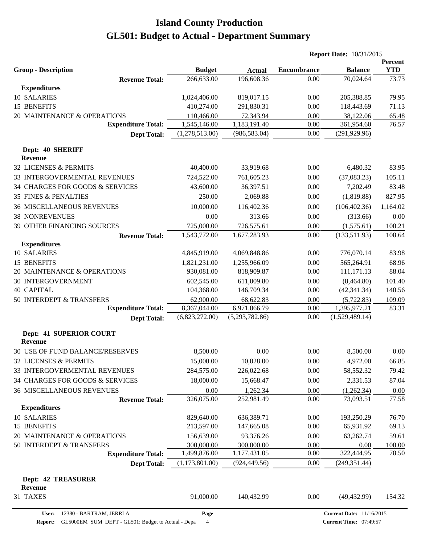|                                  |                       |                |                |                    | <b>Report Date: 10/31/2015</b> |                       |
|----------------------------------|-----------------------|----------------|----------------|--------------------|--------------------------------|-----------------------|
| <b>Group - Description</b>       |                       | <b>Budget</b>  | <b>Actual</b>  | <b>Encumbrance</b> | <b>Balance</b>                 | Percent<br><b>YTD</b> |
|                                  | <b>Revenue Total:</b> | 266,633.00     | 196,608.36     | 0.00               | 70,024.64                      | 73.73                 |
| <b>Expenditures</b>              |                       |                |                |                    |                                |                       |
| 10 SALARIES                      |                       | 1,024,406.00   | 819,017.15     | 0.00               | 205,388.85                     | 79.95                 |
| 15 BENEFITS                      |                       | 410,274.00     | 291,830.31     | 0.00               | 118,443.69                     | 71.13                 |
| 20 MAINTENANCE & OPERATIONS      |                       | 110,466.00     | 72,343.94      | 0.00               | 38,122.06                      | 65.48                 |
| <b>Expenditure Total:</b>        |                       | 1,545,146.00   | 1,183,191.40   | 0.00               | 361,954.60                     | 76.57                 |
|                                  | <b>Dept Total:</b>    | (1,278,513.00) | (986, 583.04)  | 0.00               | (291, 929.96)                  |                       |
| Dept: 40 SHERIFF                 |                       |                |                |                    |                                |                       |
| <b>Revenue</b>                   |                       |                |                |                    |                                |                       |
| 32 LICENSES & PERMITS            |                       | 40,400.00      | 33,919.68      | 0.00               | 6,480.32                       | 83.95                 |
| 33 INTERGOVERMENTAL REVENUES     |                       | 724,522.00     | 761,605.23     | 0.00               | (37,083.23)                    | 105.11                |
| 34 CHARGES FOR GOODS & SERVICES  |                       | 43,600.00      | 36,397.51      | 0.00               | 7,202.49                       | 83.48                 |
| <b>35 FINES &amp; PENALTIES</b>  |                       | 250.00         | 2,069.88       | 0.00               | (1,819.88)                     | 827.95                |
| <b>36 MISCELLANEOUS REVENUES</b> |                       | 10,000.00      | 116,402.36     | 0.00               | (106, 402.36)                  | 1,164.02              |
| <b>38 NONREVENUES</b>            |                       | 0.00           | 313.66         | 0.00               | (313.66)                       | 0.00                  |
| 39 OTHER FINANCING SOURCES       |                       | 725,000.00     | 726,575.61     | 0.00               | (1,575.61)                     | 100.21                |
|                                  | <b>Revenue Total:</b> | 1,543,772.00   | 1,677,283.93   | 0.00               | (133,511.93)                   | 108.64                |
| <b>Expenditures</b>              |                       |                |                |                    |                                |                       |
| <b>10 SALARIES</b>               |                       | 4,845,919.00   | 4,069,848.86   | 0.00               | 776,070.14                     | 83.98                 |
| 15 BENEFITS                      |                       | 1,821,231.00   | 1,255,966.09   | 0.00               | 565,264.91                     | 68.96                 |
| 20 MAINTENANCE & OPERATIONS      |                       | 930,081.00     | 818,909.87     | 0.00               | 111,171.13                     | 88.04                 |
| <b>30 INTERGOVERNMENT</b>        |                       | 602,545.00     | 611,009.80     | 0.00               | (8,464.80)                     | 101.40                |
| <b>40 CAPITAL</b>                |                       | 104,368.00     | 146,709.34     | 0.00               | (42, 341.34)                   | 140.56                |
| 50 INTERDEPT & TRANSFERS         |                       | 62,900.00      | 68,622.83      | 0.00               | (5,722.83)                     | 109.09                |
| <b>Expenditure Total:</b>        |                       | 8,367,044.00   | 6,971,066.79   | 0.00               | 1,395,977.21                   | 83.31                 |
|                                  | <b>Dept Total:</b>    | (6,823,272.00) | (5,293,782.86) | 0.00               | (1,529,489.14)                 |                       |
| <b>Dept: 41 SUPERIOR COURT</b>   |                       |                |                |                    |                                |                       |
| <b>Revenue</b>                   |                       |                |                |                    |                                |                       |
| 30 USE OF FUND BALANCE/RESERVES  |                       | 8,500.00       | 0.00           | 0.00               | 8,500.00                       | 0.00                  |
| 32 LICENSES & PERMITS            |                       | 15,000.00      | 10,028.00      | $0.00\,$           | 4,972.00                       | 66.85                 |
| 33 INTERGOVERMENTAL REVENUES     |                       | 284,575.00     | 226,022.68     | 0.00               | 58,552.32                      | 79.42                 |
| 34 CHARGES FOR GOODS & SERVICES  |                       | 18,000.00      | 15,668.47      | 0.00               | 2,331.53                       | 87.04                 |
| <b>36 MISCELLANEOUS REVENUES</b> |                       | 0.00           | 1,262.34       | 0.00               | (1,262.34)                     | 0.00                  |
|                                  | <b>Revenue Total:</b> | 326,075.00     | 252,981.49     | 0.00               | 73,093.51                      | 77.58                 |
| <b>Expenditures</b>              |                       |                |                |                    |                                |                       |
| 10 SALARIES                      |                       | 829,640.00     | 636,389.71     | 0.00               | 193,250.29                     | 76.70                 |
| 15 BENEFITS                      |                       | 213,597.00     | 147,665.08     | 0.00               | 65,931.92                      | 69.13                 |
| 20 MAINTENANCE & OPERATIONS      |                       | 156,639.00     | 93,376.26      | 0.00               | 63,262.74                      | 59.61                 |
| 50 INTERDEPT & TRANSFERS         |                       | 300,000.00     | 300,000.00     | 0.00               | 0.00                           | 100.00                |
| <b>Expenditure Total:</b>        |                       | 1,499,876.00   | 1,177,431.05   | 0.00               | 322,444.95                     | 78.50                 |
|                                  | <b>Dept Total:</b>    | (1,173,801.00) | (924, 449.56)  | 0.00               | (249, 351.44)                  |                       |
| <b>Dept: 42 TREASURER</b>        |                       |                |                |                    |                                |                       |
| Revenue<br>31 TAXES              |                       | 91,000.00      | 140,432.99     | 0.00               | (49, 432.99)                   | 154.32                |
|                                  |                       |                |                |                    |                                |                       |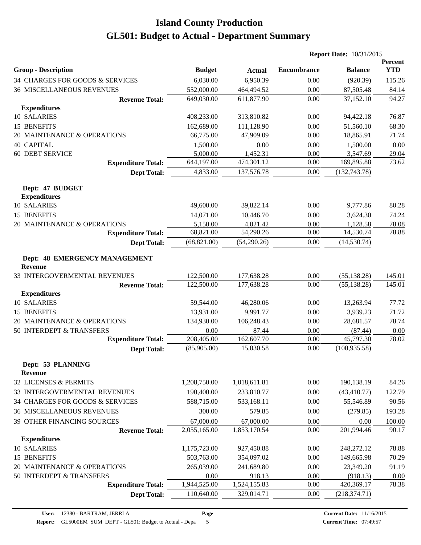|                                                        |               |               |                    | <b>Report Date: 10/31/2015</b> |                       |
|--------------------------------------------------------|---------------|---------------|--------------------|--------------------------------|-----------------------|
| <b>Group - Description</b>                             | <b>Budget</b> | <b>Actual</b> | <b>Encumbrance</b> | <b>Balance</b>                 | Percent<br><b>YTD</b> |
| 34 CHARGES FOR GOODS & SERVICES                        | 6,030.00      | 6,950.39      | 0.00               | (920.39)                       | 115.26                |
| <b>36 MISCELLANEOUS REVENUES</b>                       | 552,000.00    | 464,494.52    | 0.00               | 87,505.48                      | 84.14                 |
| <b>Revenue Total:</b>                                  | 649,030.00    | 611,877.90    | 0.00               | 37,152.10                      | 94.27                 |
| <b>Expenditures</b>                                    |               |               |                    |                                |                       |
| 10 SALARIES                                            | 408,233.00    | 313,810.82    | 0.00               | 94,422.18                      | 76.87                 |
| 15 BENEFITS                                            | 162,689.00    | 111,128.90    | 0.00               | 51,560.10                      | 68.30                 |
| 20 MAINTENANCE & OPERATIONS                            | 66,775.00     | 47,909.09     | 0.00               | 18,865.91                      | 71.74                 |
| <b>40 CAPITAL</b>                                      | 1,500.00      | 0.00          | 0.00               | 1,500.00                       | 0.00                  |
| <b>60 DEBT SERVICE</b>                                 | 5,000.00      | 1,452.31      | 0.00               | 3,547.69                       | 29.04                 |
| <b>Expenditure Total:</b>                              | 644,197.00    | 474,301.12    | 0.00               | 169,895.88                     | 73.62                 |
| <b>Dept Total:</b>                                     | 4,833.00      | 137,576.78    | 0.00               | (132, 743.78)                  |                       |
| Dept: 47 BUDGET<br><b>Expenditures</b>                 |               |               |                    |                                |                       |
| 10 SALARIES                                            | 49,600.00     | 39,822.14     | 0.00               | 9,777.86                       | 80.28                 |
| 15 BENEFITS                                            | 14,071.00     | 10,446.70     | 0.00               | 3,624.30                       | 74.24                 |
| 20 MAINTENANCE & OPERATIONS                            | 5,150.00      | 4,021.42      | 0.00               | 1,128.58                       | 78.08                 |
| <b>Expenditure Total:</b>                              | 68,821.00     | 54,290.26     | 0.00               | 14,530.74                      | 78.88                 |
| <b>Dept Total:</b>                                     | (68, 821.00)  | (54,290.26)   | 0.00               | (14, 530.74)                   |                       |
| <b>Dept: 48 EMERGENCY MANAGEMENT</b><br><b>Revenue</b> |               |               |                    |                                |                       |
| 33 INTERGOVERMENTAL REVENUES                           | 122,500.00    | 177,638.28    | 0.00               | (55, 138.28)                   | 145.01                |
| <b>Revenue Total:</b>                                  | 122,500.00    | 177,638.28    | 0.00               | (55, 138.28)                   | 145.01                |
| <b>Expenditures</b>                                    |               |               |                    |                                |                       |
| 10 SALARIES                                            | 59,544.00     | 46,280.06     | 0.00               | 13,263.94                      | 77.72                 |
| 15 BENEFITS                                            | 13,931.00     | 9,991.77      | 0.00               | 3,939.23                       | 71.72                 |
| 20 MAINTENANCE & OPERATIONS                            | 134,930.00    | 106,248.43    | 0.00               | 28,681.57                      | 78.74                 |
| 50 INTERDEPT & TRANSFERS                               | 0.00          | 87.44         | 0.00               | (87.44)                        | 0.00                  |
| <b>Expenditure Total:</b>                              | 208,405.00    | 162,607.70    | 0.00               | 45,797.30                      | 78.02                 |
| <b>Dept Total:</b>                                     | (85,905.00)   | 15,030.58     | 0.00               | (100, 935.58)                  |                       |
| Dept: 53 PLANNING<br><b>Revenue</b>                    |               |               |                    |                                |                       |
| 32 LICENSES & PERMITS                                  | 1,208,750.00  | 1,018,611.81  | 0.00               | 190,138.19                     | 84.26                 |
| 33 INTERGOVERMENTAL REVENUES                           | 190,400.00    | 233,810.77    | 0.00               | (43, 410.77)                   | 122.79                |
| 34 CHARGES FOR GOODS & SERVICES                        | 588,715.00    | 533,168.11    | 0.00               | 55,546.89                      | 90.56                 |
| <b>36 MISCELLANEOUS REVENUES</b>                       | 300.00        | 579.85        | 0.00               | (279.85)                       | 193.28                |
| 39 OTHER FINANCING SOURCES                             | 67,000.00     | 67,000.00     | 0.00               | 0.00                           | 100.00                |
| <b>Revenue Total:</b>                                  | 2,055,165.00  | 1,853,170.54  | 0.00               | 201,994.46                     | 90.17                 |
| <b>Expenditures</b>                                    |               |               |                    |                                |                       |
| 10 SALARIES                                            | 1,175,723.00  | 927,450.88    | 0.00               | 248,272.12                     | 78.88                 |
| 15 BENEFITS                                            | 503,763.00    | 354,097.02    | 0.00               | 149,665.98                     | 70.29                 |
| 20 MAINTENANCE & OPERATIONS                            | 265,039.00    | 241,689.80    | 0.00               | 23,349.20                      | 91.19                 |
| 50 INTERDEPT & TRANSFERS                               | 0.00          | 918.13        | 0.00               | (918.13)                       | 0.00                  |
| <b>Expenditure Total:</b>                              | 1,944,525.00  | 1,524,155.83  | 0.00               | 420,369.17                     | 78.38                 |
| <b>Dept Total:</b>                                     | 110,640.00    | 329,014.71    | 0.00               | (218, 374.71)                  |                       |
|                                                        |               |               |                    |                                |                       |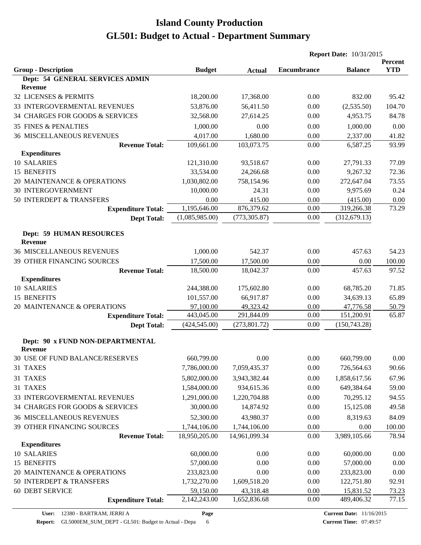|                                                    |                |               | <b>Report Date: 10/31/2015</b> |                |                       |
|----------------------------------------------------|----------------|---------------|--------------------------------|----------------|-----------------------|
| <b>Group - Description</b>                         | <b>Budget</b>  | <b>Actual</b> | <b>Encumbrance</b>             | <b>Balance</b> | Percent<br><b>YTD</b> |
| Dept: 54 GENERAL SERVICES ADMIN                    |                |               |                                |                |                       |
| <b>Revenue</b>                                     |                |               |                                |                |                       |
| 32 LICENSES & PERMITS                              | 18,200.00      | 17,368.00     | 0.00                           | 832.00         | 95.42                 |
| 33 INTERGOVERMENTAL REVENUES                       | 53,876.00      | 56,411.50     | 0.00                           | (2,535.50)     | 104.70                |
| 34 CHARGES FOR GOODS & SERVICES                    | 32,568.00      | 27,614.25     | 0.00                           | 4,953.75       | 84.78                 |
| <b>35 FINES &amp; PENALTIES</b>                    | 1,000.00       | 0.00          | 0.00                           | 1,000.00       | 0.00                  |
| <b>36 MISCELLANEOUS REVENUES</b>                   | 4,017.00       | 1,680.00      | 0.00                           | 2,337.00       | 41.82                 |
| <b>Revenue Total:</b>                              | 109,661.00     | 103,073.75    | 0.00                           | 6,587.25       | 93.99                 |
| <b>Expenditures</b>                                |                |               |                                |                |                       |
| 10 SALARIES                                        | 121,310.00     | 93,518.67     | 0.00                           | 27,791.33      | 77.09                 |
| 15 BENEFITS                                        | 33,534.00      | 24,266.68     | 0.00                           | 9,267.32       | 72.36                 |
| 20 MAINTENANCE & OPERATIONS                        | 1,030,802.00   | 758,154.96    | 0.00                           | 272,647.04     | 73.55                 |
| <b>30 INTERGOVERNMENT</b>                          | 10,000.00      | 24.31         | 0.00                           | 9,975.69       | 0.24                  |
| 50 INTERDEPT & TRANSFERS                           | 0.00           | 415.00        | 0.00                           | (415.00)       | 0.00                  |
| <b>Expenditure Total:</b>                          | 1,195,646.00   | 876,379.62    | 0.00                           | 319,266.38     | 73.29                 |
| <b>Dept Total:</b>                                 | (1,085,985.00) | (773, 305.87) | 0.00                           | (312, 679.13)  |                       |
| <b>Dept: 59 HUMAN RESOURCES</b>                    |                |               |                                |                |                       |
| <b>Revenue</b>                                     |                |               |                                |                |                       |
| <b>36 MISCELLANEOUS REVENUES</b>                   | 1,000.00       | 542.37        | 0.00                           | 457.63         | 54.23                 |
| 39 OTHER FINANCING SOURCES                         | 17,500.00      | 17,500.00     | 0.00                           | 0.00           | 100.00                |
| <b>Revenue Total:</b>                              | 18,500.00      | 18,042.37     | 0.00                           | 457.63         | 97.52                 |
| <b>Expenditures</b>                                |                |               |                                |                |                       |
| 10 SALARIES                                        | 244,388.00     | 175,602.80    | 0.00                           | 68,785.20      | 71.85                 |
| 15 BENEFITS                                        | 101,557.00     | 66,917.87     | 0.00                           | 34,639.13      | 65.89                 |
| 20 MAINTENANCE & OPERATIONS                        | 97,100.00      | 49,323.42     | 0.00                           | 47,776.58      | 50.79                 |
| <b>Expenditure Total:</b>                          | 443,045.00     | 291,844.09    | 0.00                           | 151,200.91     | 65.87                 |
| <b>Dept Total:</b>                                 | (424, 545.00)  | (273, 801.72) | 0.00                           | (150, 743.28)  |                       |
| Dept: 90 x FUND NON-DEPARTMENTAL<br><b>Revenue</b> |                |               |                                |                |                       |
| 30 USE OF FUND BALANCE/RESERVES                    | 660,799.00     | 0.00          | 0.00                           | 660,799.00     | 0.00                  |
| 31 TAXES                                           | 7,786,000.00   | 7,059,435.37  | 0.00                           | 726,564.63     | 90.66                 |
| 31 TAXES                                           | 5,802,000.00   | 3,943,382.44  | 0.00                           | 1,858,617.56   | 67.96                 |
| 31 TAXES                                           | 1,584,000.00   | 934,615.36    | 0.00                           | 649,384.64     | 59.00                 |
| 33 INTERGOVERMENTAL REVENUES                       | 1,291,000.00   | 1,220,704.88  | 0.00                           | 70,295.12      | 94.55                 |
| 34 CHARGES FOR GOODS & SERVICES                    | 30,000.00      | 14,874.92     | 0.00                           | 15,125.08      | 49.58                 |
| <b>36 MISCELLANEOUS REVENUES</b>                   | 52,300.00      | 43,980.37     | 0.00                           | 8,319.63       | 84.09                 |
| 39 OTHER FINANCING SOURCES                         | 1,744,106.00   | 1,744,106.00  | 0.00                           | 0.00           | 100.00                |
| <b>Revenue Total:</b>                              | 18,950,205.00  | 14,961,099.34 | 0.00                           | 3,989,105.66   | 78.94                 |
| <b>Expenditures</b>                                |                |               |                                |                |                       |
| 10 SALARIES                                        | 60,000.00      | 0.00          | 0.00                           | 60,000.00      | 0.00                  |
| 15 BENEFITS                                        | 57,000.00      | 0.00          | 0.00                           | 57,000.00      | 0.00                  |
| 20 MAINTENANCE & OPERATIONS                        | 233,823.00     | 0.00          | 0.00                           | 233,823.00     | 0.00                  |
| 50 INTERDEPT & TRANSFERS                           | 1,732,270.00   | 1,609,518.20  | 0.00                           | 122,751.80     | 92.91                 |
| 60 DEBT SERVICE                                    | 59,150.00      | 43,318.48     | 0.00                           | 15,831.52      | 73.23                 |
| <b>Expenditure Total:</b>                          | 2,142,243.00   | 1,652,836.68  | 0.00                           | 489,406.32     | 77.15                 |